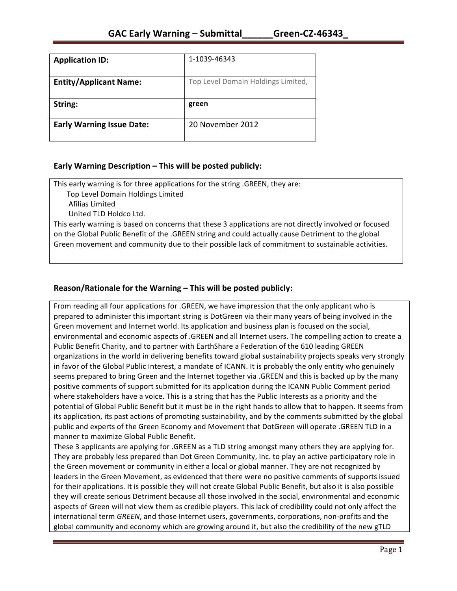| <b>Application ID:</b>           | 1-1039-46343                       |
|----------------------------------|------------------------------------|
| <b>Entity/Applicant Name:</b>    | Top Level Domain Holdings Limited, |
| String:                          | green                              |
| <b>Early Warning Issue Date:</b> | 20 November 2012                   |

### **Early Warning Description – This will be posted publicly:**

This early warning is for three applications for the string .GREEN, they are:

Top Level Domain Holdings Limited

 Afilias Limited

United TLD Holdco Ltd.

This early warning is based on concerns that these 3 applications are not directly involved or focused on the Global Public Benefit of the .GREEN string and could actually cause Detriment to the global Green movement and community due to their possible lack of commitment to sustainable activities.

## **Reason/Rationale for the Warning – This will be posted publicly:**

From reading all four applications for .GREEN, we have impression that the only applicant who is prepared to administer this important string is DotGreen via their many years of being involved in the Green movement and Internet world. Its application and business plan is focused on the social, environmental and economic aspects of .GREEN and all Internet users. The compelling action to create a Public Benefit Charity, and to partner with EarthShare a Federation of the 610 leading GREEN organizations in the world in delivering benefits toward global sustainability projects speaks very strongly in favor of the Global Public Interest, a mandate of ICANN. It is probably the only entity who genuinely seems prepared to bring Green and the Internet together via .GREEN and this is backed up by the many positive comments of support submitted for its application during the ICANN Public Comment period where stakeholders have a voice. This is a string that has the Public Interests as a priority and the potential of Global Public Benefit but it must be in the right hands to allow that to happen. It seems from its application, its past actions of promoting sustainability, and by the comments submitted by the global public and experts of the Green Economy and Movement that DotGreen will operate .GREEN TLD in a manner to maximize Global Public Benefit.

These 3 applicants are applying for .GREEN as a TLD string amongst many others they are applying for. They are probably less prepared than Dot Green Community, Inc. to play an active participatory role in the Green movement or community in either a local or global manner. They are not recognized by leaders in the Green Movement, as evidenced that there were no positive comments of supports issued for their applications. It is possible they will not create Global Public Benefit, but also it is also possible they will create serious Detriment because all those involved in the social, environmental and economic aspects of Green will not view them as credible players. This lack of credibility could not only affect the international term *GREEN*, and those Internet users, governments, corporations, non-profits and the global community and economy which are growing around it, but also the credibility of the new gTLD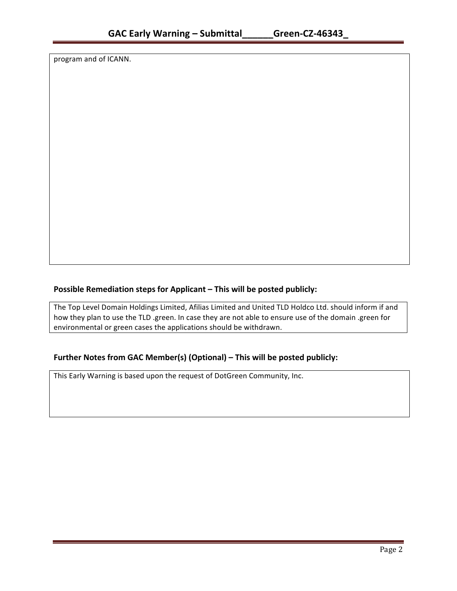program and of ICANN.

## **Possible Remediation steps for Applicant – This will be posted publicly:**

The Top Level Domain Holdings Limited, Afilias Limited and United TLD Holdco Ltd. should inform if and how they plan to use the TLD .green. In case they are not able to ensure use of the domain .green for environmental or green cases the applications should be withdrawn.

## **Further Notes from GAC Member(s) (Optional) – This will be posted publicly:**

This Early Warning is based upon the request of DotGreen Community, Inc.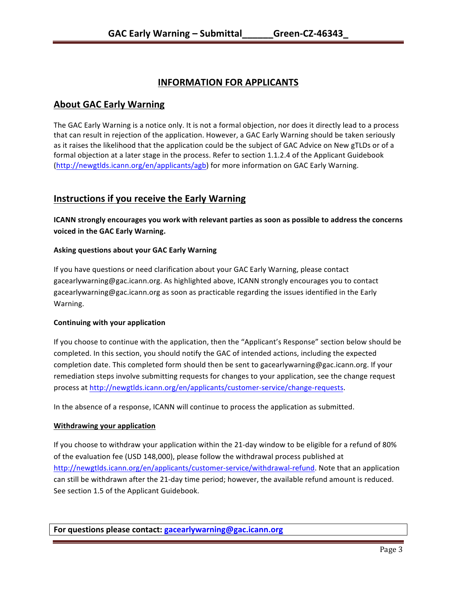# **INFORMATION FOR APPLICANTS**

## **About GAC Early Warning**

The GAC Early Warning is a notice only. It is not a formal objection, nor does it directly lead to a process that can result in rejection of the application. However, a GAC Early Warning should be taken seriously as it raises the likelihood that the application could be the subject of GAC Advice on New gTLDs or of a formal objection at a later stage in the process. Refer to section 1.1.2.4 of the Applicant Guidebook (http://newgtlds.icann.org/en/applicants/agb) for more information on GAC Early Warning.

# **Instructions if you receive the Early Warning**

**ICANN** strongly encourages you work with relevant parties as soon as possible to address the concerns **voiced in the GAC Early Warning.** 

### **Asking questions about your GAC Early Warning**

If you have questions or need clarification about your GAC Early Warning, please contact gacearlywarning@gac.icann.org. As highlighted above, ICANN strongly encourages you to contact gacearlywarning@gac.icann.org as soon as practicable regarding the issues identified in the Early Warning. 

### **Continuing with your application**

If you choose to continue with the application, then the "Applicant's Response" section below should be completed. In this section, you should notify the GAC of intended actions, including the expected completion date. This completed form should then be sent to gacearlywarning@gac.icann.org. If your remediation steps involve submitting requests for changes to your application, see the change request process at http://newgtlds.icann.org/en/applicants/customer-service/change-requests.

In the absence of a response, ICANN will continue to process the application as submitted.

### **Withdrawing your application**

If you choose to withdraw your application within the 21-day window to be eligible for a refund of 80% of the evaluation fee (USD 148,000), please follow the withdrawal process published at http://newgtlds.icann.org/en/applicants/customer-service/withdrawal-refund. Note that an application can still be withdrawn after the 21-day time period; however, the available refund amount is reduced. See section 1.5 of the Applicant Guidebook.

**For questions please contact: gacearlywarning@gac.icann.org**